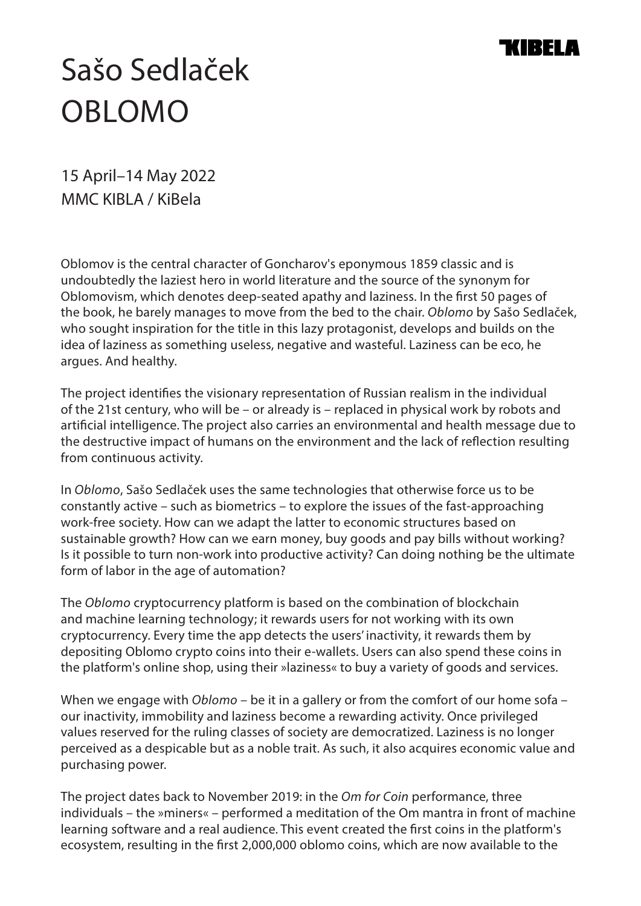## IR EI A

## Sašo Sedlaček OBLOMO

15 April–14 May 2022 MMC KIBLA / KiBela

Oblomov is the central character of Goncharov's eponymous 1859 classic and is undoubtedly the laziest hero in world literature and the source of the synonym for Oblomovism, which denotes deep-seated apathy and laziness. In the first 50 pages of the book, he barely manages to move from the bed to the chair. *Oblomo* by Sašo Sedlaček, who sought inspiration for the title in this lazy protagonist, develops and builds on the idea of laziness as something useless, negative and wasteful. Laziness can be eco, he argues. And healthy.

The project identifies the visionary representation of Russian realism in the individual of the 21st century, who will be – or already is – replaced in physical work by robots and artificial intelligence. The project also carries an environmental and health message due to the destructive impact of humans on the environment and the lack of reflection resulting from continuous activity.

In *Oblomo*, Sašo Sedlaček uses the same technologies that otherwise force us to be constantly active – such as biometrics – to explore the issues of the fast-approaching work-free society. How can we adapt the latter to economic structures based on sustainable growth? How can we earn money, buy goods and pay bills without working? Is it possible to turn non-work into productive activity? Can doing nothing be the ultimate form of labor in the age of automation?

The *Oblomo* cryptocurrency platform is based on the combination of blockchain and machine learning technology; it rewards users for not working with its own cryptocurrency. Every time the app detects the users' inactivity, it rewards them by depositing Oblomo crypto coins into their e-wallets. Users can also spend these coins in the platform's online shop, using their »laziness« to buy a variety of goods and services.

When we engage with *Oblomo* – be it in a gallery or from the comfort of our home sofa – our inactivity, immobility and laziness become a rewarding activity. Once privileged values reserved for the ruling classes of society are democratized. Laziness is no longer perceived as a despicable but as a noble trait. As such, it also acquires economic value and purchasing power.

The project dates back to November 2019: in the *Om for Coin* performance, three individuals – the »miners« – performed a meditation of the Om mantra in front of machine learning software and a real audience. This event created the first coins in the platform's ecosystem, resulting in the first 2,000,000 oblomo coins, which are now available to the